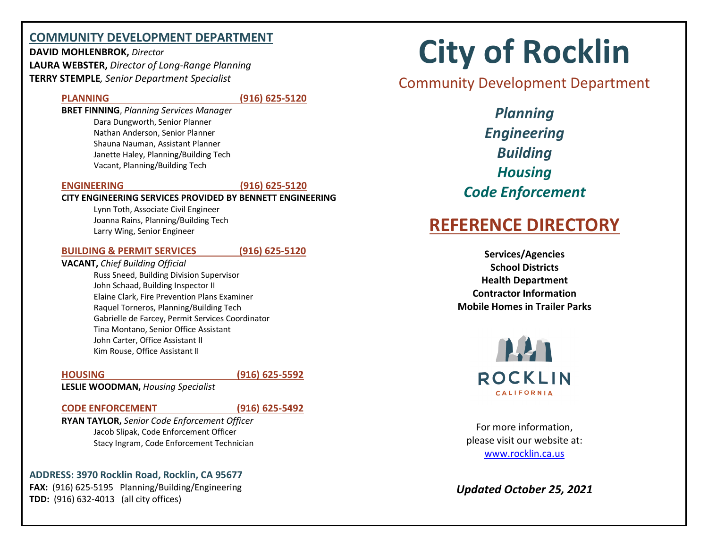## **COMMUNITY DEVELOPMENT DEPARTMENT**

**DAVID MOHLENBROK,** *Director* **LAURA WEBSTER,** *Director of Long-Range Planning* **TERRY STEMPLE***, Senior Department Specialist*

## **PLANNING (916) 625-5120**

**BRET FINNING**, *Planning Services Manager* Dara Dungworth, Senior Planner Nathan Anderson, Senior Planner Shauna Nauman, Assistant Planner Janette Haley, Planning/Building Tech Vacant, Planning/Building Tech

## **ENGINEERING (916) 625-5120**

## **CITY ENGINEERING SERVICES PROVIDED BY BENNETT ENGINEERING**

Lynn Toth, Associate Civil Engineer Joanna Rains, Planning/Building Tech Larry Wing, Senior Engineer

## **BUILDING & PERMIT SERVICES (916) 625-5120**

**VACANT,** *Chief Building Official* Russ Sneed, Building Division Supervisor John Schaad, Building Inspector II Elaine Clark, Fire Prevention Plans Examiner Raquel Torneros, Planning/Building Tech Gabrielle de Farcey, Permit Services Coordinator Tina Montano, Senior Office Assistant John Carter, Office Assistant II Kim Rouse, Office Assistant II

**HOUSING (916) 625-5592**

**LESLIE WOODMAN,** *Housing Specialist*

## **CODE ENFORCEMENT (916) 625-5492**

**RYAN TAYLOR,** *Senior Code Enforcement Officer* Jacob Slipak, Code Enforcement Officer Stacy Ingram, Code Enforcement Technician

## **ADDRESS: 3970 Rocklin Road, Rocklin, CA 95677 FAX:** (916) 625-5195 Planning/Building/Engineering **TDD:** (916) 632-4013 (all city offices)

# **City of Rocklin**

## Community Development Department

*Planning Engineering Building Housing Code Enforcement*

# **REFERENCE DIRECTORY**

**Services/Agencies School Districts Health Department Contractor Information Mobile Homes in Trailer Parks**



For more information, please visit our website at: www.rocklin.ca.us

*Updated October 25, 2021*